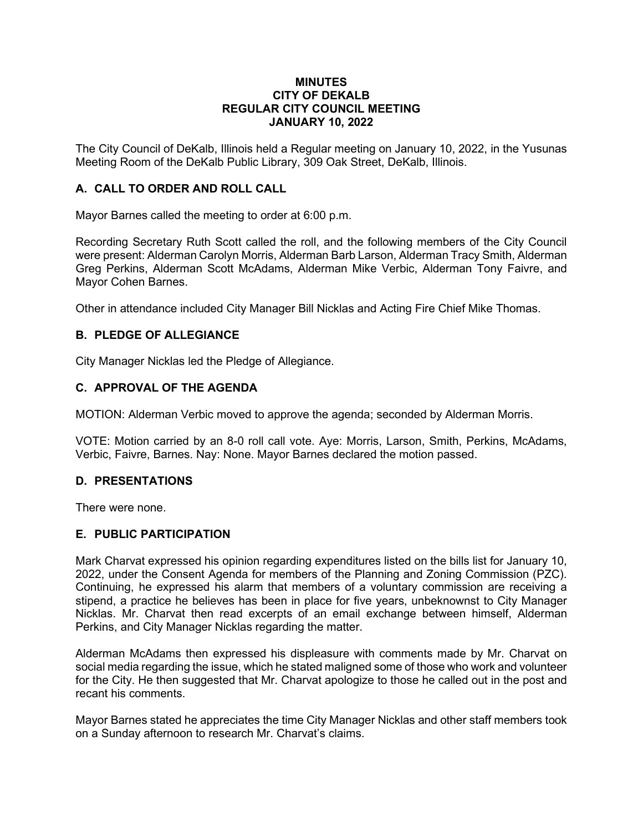#### **MINUTES CITY OF DEKALB REGULAR CITY COUNCIL MEETING JANUARY 10, 2022**

The City Council of DeKalb, Illinois held a Regular meeting on January 10, 2022, in the Yusunas Meeting Room of the DeKalb Public Library, 309 Oak Street, DeKalb, Illinois.

## **A. CALL TO ORDER AND ROLL CALL**

Mayor Barnes called the meeting to order at 6:00 p.m.

Recording Secretary Ruth Scott called the roll, and the following members of the City Council were present: Alderman Carolyn Morris, Alderman Barb Larson, Alderman Tracy Smith, Alderman Greg Perkins, Alderman Scott McAdams, Alderman Mike Verbic, Alderman Tony Faivre, and Mayor Cohen Barnes.

Other in attendance included City Manager Bill Nicklas and Acting Fire Chief Mike Thomas.

## **B. PLEDGE OF ALLEGIANCE**

City Manager Nicklas led the Pledge of Allegiance.

## **C. APPROVAL OF THE AGENDA**

MOTION: Alderman Verbic moved to approve the agenda; seconded by Alderman Morris.

VOTE: Motion carried by an 8-0 roll call vote. Aye: Morris, Larson, Smith, Perkins, McAdams, Verbic, Faivre, Barnes. Nay: None. Mayor Barnes declared the motion passed.

#### **D. PRESENTATIONS**

There were none.

## **E. PUBLIC PARTICIPATION**

Mark Charvat expressed his opinion regarding expenditures listed on the bills list for January 10, 2022, under the Consent Agenda for members of the Planning and Zoning Commission (PZC). Continuing, he expressed his alarm that members of a voluntary commission are receiving a stipend, a practice he believes has been in place for five years, unbeknownst to City Manager Nicklas. Mr. Charvat then read excerpts of an email exchange between himself, Alderman Perkins, and City Manager Nicklas regarding the matter.

Alderman McAdams then expressed his displeasure with comments made by Mr. Charvat on social media regarding the issue, which he stated maligned some of those who work and volunteer for the City. He then suggested that Mr. Charvat apologize to those he called out in the post and recant his comments.

Mayor Barnes stated he appreciates the time City Manager Nicklas and other staff members took on a Sunday afternoon to research Mr. Charvat's claims.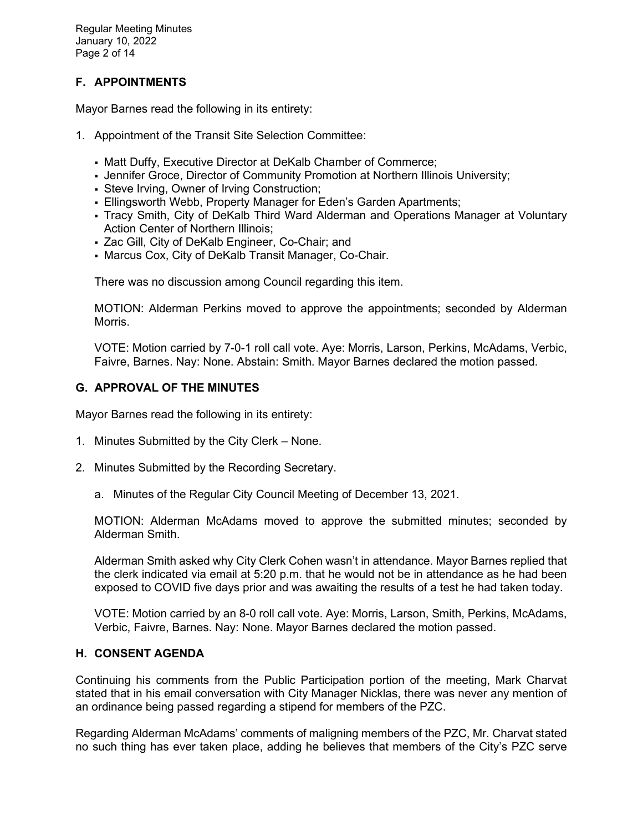Regular Meeting Minutes January 10, 2022 Page 2 of 14

# **F. APPOINTMENTS**

Mayor Barnes read the following in its entirety:

- 1. Appointment of the Transit Site Selection Committee:
	- Matt Duffy, Executive Director at DeKalb Chamber of Commerce;
	- Jennifer Groce, Director of Community Promotion at Northern Illinois University;
	- Steve Irving, Owner of Irving Construction;
	- Ellingsworth Webb, Property Manager for Eden's Garden Apartments;
	- Tracy Smith, City of DeKalb Third Ward Alderman and Operations Manager at Voluntary Action Center of Northern Illinois;
	- Zac Gill, City of DeKalb Engineer, Co-Chair; and
	- Marcus Cox, City of DeKalb Transit Manager, Co-Chair.

There was no discussion among Council regarding this item.

MOTION: Alderman Perkins moved to approve the appointments; seconded by Alderman Morris.

VOTE: Motion carried by 7-0-1 roll call vote. Aye: Morris, Larson, Perkins, McAdams, Verbic, Faivre, Barnes. Nay: None. Abstain: Smith. Mayor Barnes declared the motion passed.

## **G. APPROVAL OF THE MINUTES**

Mayor Barnes read the following in its entirety:

- 1. Minutes Submitted by the City Clerk None.
- 2. Minutes Submitted by the Recording Secretary.
	- a. Minutes of the Regular City Council Meeting of December 13, 2021.

MOTION: Alderman McAdams moved to approve the submitted minutes; seconded by Alderman Smith.

Alderman Smith asked why City Clerk Cohen wasn't in attendance. Mayor Barnes replied that the clerk indicated via email at 5:20 p.m. that he would not be in attendance as he had been exposed to COVID five days prior and was awaiting the results of a test he had taken today.

VOTE: Motion carried by an 8-0 roll call vote. Aye: Morris, Larson, Smith, Perkins, McAdams, Verbic, Faivre, Barnes. Nay: None. Mayor Barnes declared the motion passed.

## **H. CONSENT AGENDA**

Continuing his comments from the Public Participation portion of the meeting, Mark Charvat stated that in his email conversation with City Manager Nicklas, there was never any mention of an ordinance being passed regarding a stipend for members of the PZC.

Regarding Alderman McAdams' comments of maligning members of the PZC, Mr. Charvat stated no such thing has ever taken place, adding he believes that members of the City's PZC serve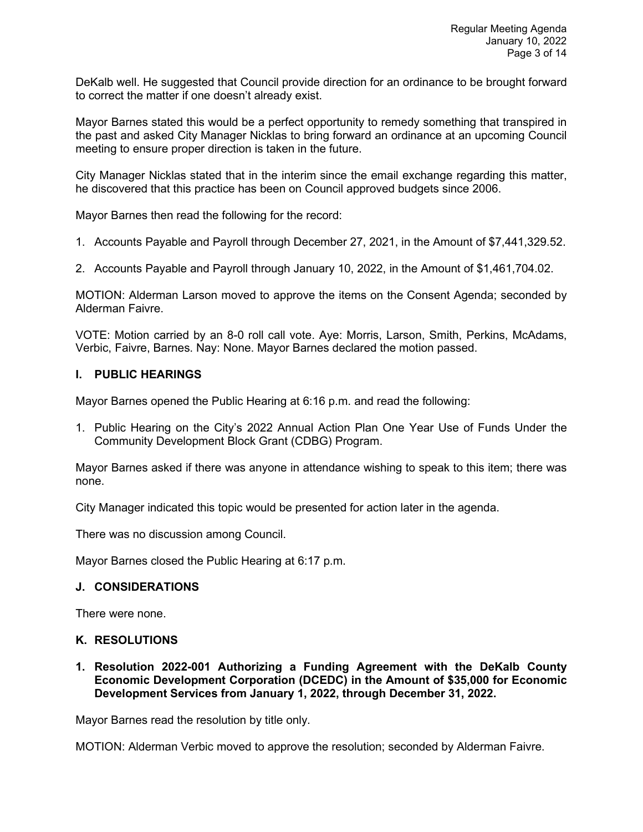DeKalb well. He suggested that Council provide direction for an ordinance to be brought forward to correct the matter if one doesn't already exist.

Mayor Barnes stated this would be a perfect opportunity to remedy something that transpired in the past and asked City Manager Nicklas to bring forward an ordinance at an upcoming Council meeting to ensure proper direction is taken in the future.

City Manager Nicklas stated that in the interim since the email exchange regarding this matter, he discovered that this practice has been on Council approved budgets since 2006.

Mayor Barnes then read the following for the record:

- 1. Accounts Payable and Payroll through December 27, 2021, in the Amount of \$7,441,329.52.
- 2. Accounts Payable and Payroll through January 10, 2022, in the Amount of \$1,461,704.02.

MOTION: Alderman Larson moved to approve the items on the Consent Agenda; seconded by Alderman Faivre.

VOTE: Motion carried by an 8-0 roll call vote. Aye: Morris, Larson, Smith, Perkins, McAdams, Verbic, Faivre, Barnes. Nay: None. Mayor Barnes declared the motion passed.

### **I. PUBLIC HEARINGS**

Mayor Barnes opened the Public Hearing at 6:16 p.m. and read the following:

1. Public Hearing on the City's 2022 Annual Action Plan One Year Use of Funds Under the Community Development Block Grant (CDBG) Program.

Mayor Barnes asked if there was anyone in attendance wishing to speak to this item; there was none.

City Manager indicated this topic would be presented for action later in the agenda.

There was no discussion among Council.

Mayor Barnes closed the Public Hearing at 6:17 p.m.

#### **J. CONSIDERATIONS**

There were none.

#### **K. RESOLUTIONS**

**1. Resolution 2022-001 Authorizing a Funding Agreement with the DeKalb County Economic Development Corporation (DCEDC) in the Amount of \$35,000 for Economic Development Services from January 1, 2022, through December 31, 2022.** 

Mayor Barnes read the resolution by title only.

MOTION: Alderman Verbic moved to approve the resolution; seconded by Alderman Faivre.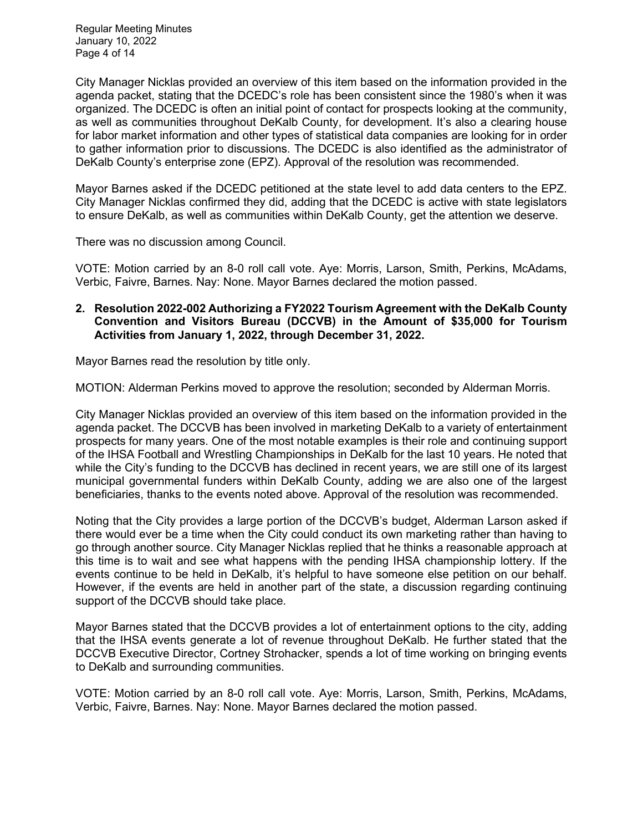Regular Meeting Minutes January 10, 2022 Page 4 of 14

City Manager Nicklas provided an overview of this item based on the information provided in the agenda packet, stating that the DCEDC's role has been consistent since the 1980's when it was organized. The DCEDC is often an initial point of contact for prospects looking at the community, as well as communities throughout DeKalb County, for development. It's also a clearing house for labor market information and other types of statistical data companies are looking for in order to gather information prior to discussions. The DCEDC is also identified as the administrator of DeKalb County's enterprise zone (EPZ). Approval of the resolution was recommended.

Mayor Barnes asked if the DCEDC petitioned at the state level to add data centers to the EPZ. City Manager Nicklas confirmed they did, adding that the DCEDC is active with state legislators to ensure DeKalb, as well as communities within DeKalb County, get the attention we deserve.

There was no discussion among Council.

VOTE: Motion carried by an 8-0 roll call vote. Aye: Morris, Larson, Smith, Perkins, McAdams, Verbic, Faivre, Barnes. Nay: None. Mayor Barnes declared the motion passed.

### **2. Resolution 2022-002 Authorizing a FY2022 Tourism Agreement with the DeKalb County Convention and Visitors Bureau (DCCVB) in the Amount of \$35,000 for Tourism Activities from January 1, 2022, through December 31, 2022.**

Mayor Barnes read the resolution by title only.

MOTION: Alderman Perkins moved to approve the resolution; seconded by Alderman Morris.

City Manager Nicklas provided an overview of this item based on the information provided in the agenda packet. The DCCVB has been involved in marketing DeKalb to a variety of entertainment prospects for many years. One of the most notable examples is their role and continuing support of the IHSA Football and Wrestling Championships in DeKalb for the last 10 years. He noted that while the City's funding to the DCCVB has declined in recent years, we are still one of its largest municipal governmental funders within DeKalb County, adding we are also one of the largest beneficiaries, thanks to the events noted above. Approval of the resolution was recommended.

Noting that the City provides a large portion of the DCCVB's budget, Alderman Larson asked if there would ever be a time when the City could conduct its own marketing rather than having to go through another source. City Manager Nicklas replied that he thinks a reasonable approach at this time is to wait and see what happens with the pending IHSA championship lottery. If the events continue to be held in DeKalb, it's helpful to have someone else petition on our behalf. However, if the events are held in another part of the state, a discussion regarding continuing support of the DCCVB should take place.

Mayor Barnes stated that the DCCVB provides a lot of entertainment options to the city, adding that the IHSA events generate a lot of revenue throughout DeKalb. He further stated that the DCCVB Executive Director, Cortney Strohacker, spends a lot of time working on bringing events to DeKalb and surrounding communities.

VOTE: Motion carried by an 8-0 roll call vote. Aye: Morris, Larson, Smith, Perkins, McAdams, Verbic, Faivre, Barnes. Nay: None. Mayor Barnes declared the motion passed.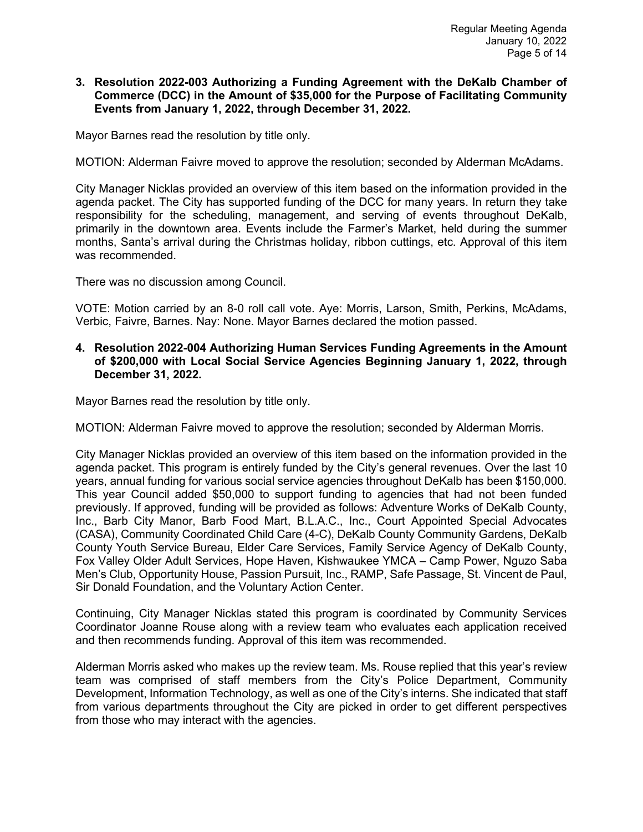#### **3. Resolution 2022-003 Authorizing a Funding Agreement with the DeKalb Chamber of Commerce (DCC) in the Amount of \$35,000 for the Purpose of Facilitating Community Events from January 1, 2022, through December 31, 2022.**

Mayor Barnes read the resolution by title only.

MOTION: Alderman Faivre moved to approve the resolution; seconded by Alderman McAdams.

City Manager Nicklas provided an overview of this item based on the information provided in the agenda packet. The City has supported funding of the DCC for many years. In return they take responsibility for the scheduling, management, and serving of events throughout DeKalb, primarily in the downtown area. Events include the Farmer's Market, held during the summer months, Santa's arrival during the Christmas holiday, ribbon cuttings, etc. Approval of this item was recommended.

There was no discussion among Council.

VOTE: Motion carried by an 8-0 roll call vote. Aye: Morris, Larson, Smith, Perkins, McAdams, Verbic, Faivre, Barnes. Nay: None. Mayor Barnes declared the motion passed.

## **4. Resolution 2022-004 Authorizing Human Services Funding Agreements in the Amount of \$200,000 with Local Social Service Agencies Beginning January 1, 2022, through December 31, 2022.**

Mayor Barnes read the resolution by title only.

MOTION: Alderman Faivre moved to approve the resolution; seconded by Alderman Morris.

City Manager Nicklas provided an overview of this item based on the information provided in the agenda packet. This program is entirely funded by the City's general revenues. Over the last 10 years, annual funding for various social service agencies throughout DeKalb has been \$150,000. This year Council added \$50,000 to support funding to agencies that had not been funded previously. If approved, funding will be provided as follows: Adventure Works of DeKalb County, Inc., Barb City Manor, Barb Food Mart, B.L.A.C., Inc., Court Appointed Special Advocates (CASA), Community Coordinated Child Care (4-C), DeKalb County Community Gardens, DeKalb County Youth Service Bureau, Elder Care Services, Family Service Agency of DeKalb County, Fox Valley Older Adult Services, Hope Haven, Kishwaukee YMCA – Camp Power, Nguzo Saba Men's Club, Opportunity House, Passion Pursuit, Inc., RAMP, Safe Passage, St. Vincent de Paul, Sir Donald Foundation, and the Voluntary Action Center.

Continuing, City Manager Nicklas stated this program is coordinated by Community Services Coordinator Joanne Rouse along with a review team who evaluates each application received and then recommends funding. Approval of this item was recommended.

Alderman Morris asked who makes up the review team. Ms. Rouse replied that this year's review team was comprised of staff members from the City's Police Department, Community Development, Information Technology, as well as one of the City's interns. She indicated that staff from various departments throughout the City are picked in order to get different perspectives from those who may interact with the agencies.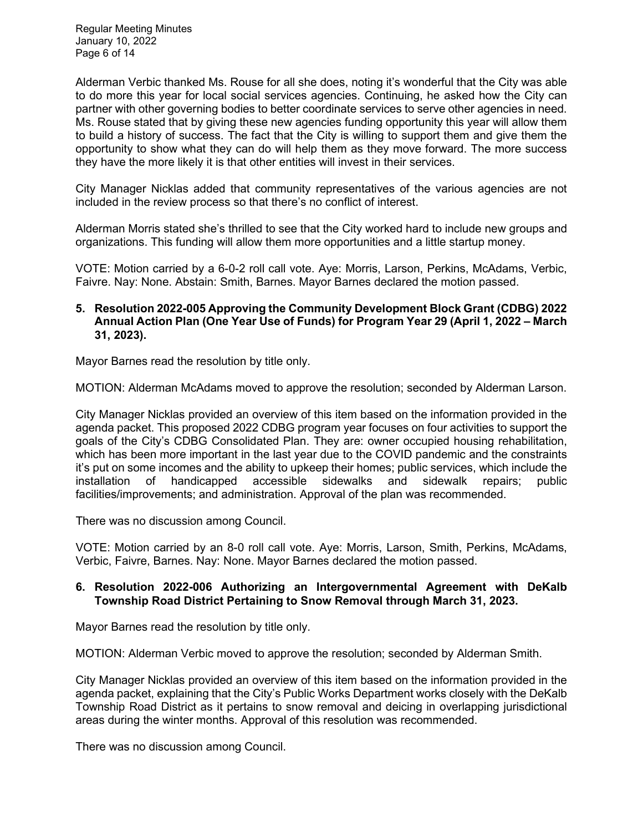Regular Meeting Minutes January 10, 2022 Page 6 of 14

Alderman Verbic thanked Ms. Rouse for all she does, noting it's wonderful that the City was able to do more this year for local social services agencies. Continuing, he asked how the City can partner with other governing bodies to better coordinate services to serve other agencies in need. Ms. Rouse stated that by giving these new agencies funding opportunity this year will allow them to build a history of success. The fact that the City is willing to support them and give them the opportunity to show what they can do will help them as they move forward. The more success they have the more likely it is that other entities will invest in their services.

City Manager Nicklas added that community representatives of the various agencies are not included in the review process so that there's no conflict of interest.

Alderman Morris stated she's thrilled to see that the City worked hard to include new groups and organizations. This funding will allow them more opportunities and a little startup money.

VOTE: Motion carried by a 6-0-2 roll call vote. Aye: Morris, Larson, Perkins, McAdams, Verbic, Faivre. Nay: None. Abstain: Smith, Barnes. Mayor Barnes declared the motion passed.

### **5. Resolution 2022-005 Approving the Community Development Block Grant (CDBG) 2022 Annual Action Plan (One Year Use of Funds) for Program Year 29 (April 1, 2022 – March 31, 2023).**

Mayor Barnes read the resolution by title only.

MOTION: Alderman McAdams moved to approve the resolution; seconded by Alderman Larson.

City Manager Nicklas provided an overview of this item based on the information provided in the agenda packet. This proposed 2022 CDBG program year focuses on four activities to support the goals of the City's CDBG Consolidated Plan. They are: owner occupied housing rehabilitation, which has been more important in the last year due to the COVID pandemic and the constraints it's put on some incomes and the ability to upkeep their homes; public services, which include the installation of handicapped accessible sidewalks and sidewalk repairs; public facilities/improvements; and administration. Approval of the plan was recommended.

There was no discussion among Council.

VOTE: Motion carried by an 8-0 roll call vote. Aye: Morris, Larson, Smith, Perkins, McAdams, Verbic, Faivre, Barnes. Nay: None. Mayor Barnes declared the motion passed.

### **6. Resolution 2022-006 Authorizing an Intergovernmental Agreement with DeKalb Township Road District Pertaining to Snow Removal through March 31, 2023.**

Mayor Barnes read the resolution by title only.

MOTION: Alderman Verbic moved to approve the resolution; seconded by Alderman Smith.

City Manager Nicklas provided an overview of this item based on the information provided in the agenda packet, explaining that the City's Public Works Department works closely with the DeKalb Township Road District as it pertains to snow removal and deicing in overlapping jurisdictional areas during the winter months. Approval of this resolution was recommended.

There was no discussion among Council.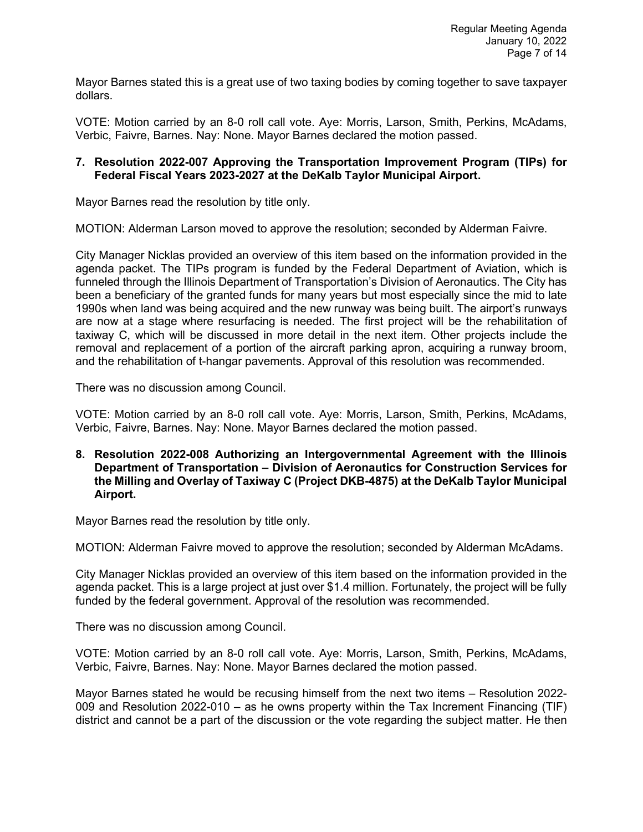Mayor Barnes stated this is a great use of two taxing bodies by coming together to save taxpayer dollars.

VOTE: Motion carried by an 8-0 roll call vote. Aye: Morris, Larson, Smith, Perkins, McAdams, Verbic, Faivre, Barnes. Nay: None. Mayor Barnes declared the motion passed.

## **7. Resolution 2022-007 Approving the Transportation Improvement Program (TIPs) for Federal Fiscal Years 2023-2027 at the DeKalb Taylor Municipal Airport.**

Mayor Barnes read the resolution by title only.

MOTION: Alderman Larson moved to approve the resolution; seconded by Alderman Faivre.

City Manager Nicklas provided an overview of this item based on the information provided in the agenda packet. The TIPs program is funded by the Federal Department of Aviation, which is funneled through the Illinois Department of Transportation's Division of Aeronautics. The City has been a beneficiary of the granted funds for many years but most especially since the mid to late 1990s when land was being acquired and the new runway was being built. The airport's runways are now at a stage where resurfacing is needed. The first project will be the rehabilitation of taxiway C, which will be discussed in more detail in the next item. Other projects include the removal and replacement of a portion of the aircraft parking apron, acquiring a runway broom, and the rehabilitation of t-hangar pavements. Approval of this resolution was recommended.

There was no discussion among Council.

VOTE: Motion carried by an 8-0 roll call vote. Aye: Morris, Larson, Smith, Perkins, McAdams, Verbic, Faivre, Barnes. Nay: None. Mayor Barnes declared the motion passed.

**8. Resolution 2022-008 Authorizing an Intergovernmental Agreement with the Illinois Department of Transportation – Division of Aeronautics for Construction Services for the Milling and Overlay of Taxiway C (Project DKB-4875) at the DeKalb Taylor Municipal Airport.** 

Mayor Barnes read the resolution by title only.

MOTION: Alderman Faivre moved to approve the resolution; seconded by Alderman McAdams.

City Manager Nicklas provided an overview of this item based on the information provided in the agenda packet. This is a large project at just over \$1.4 million. Fortunately, the project will be fully funded by the federal government. Approval of the resolution was recommended.

There was no discussion among Council.

VOTE: Motion carried by an 8-0 roll call vote. Aye: Morris, Larson, Smith, Perkins, McAdams, Verbic, Faivre, Barnes. Nay: None. Mayor Barnes declared the motion passed.

Mayor Barnes stated he would be recusing himself from the next two items – Resolution 2022- 009 and Resolution 2022-010 – as he owns property within the Tax Increment Financing (TIF) district and cannot be a part of the discussion or the vote regarding the subject matter. He then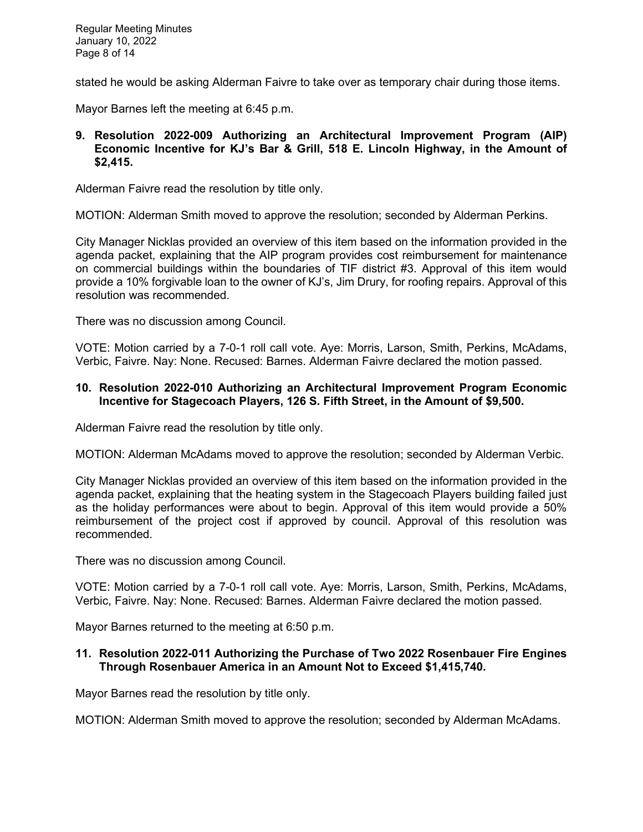stated he would be asking Alderman Faivre to take over as temporary chair during those items.

Mayor Barnes left the meeting at 6:45 p.m.

## **9. Resolution 2022-009 Authorizing an Architectural Improvement Program (AIP) Economic Incentive for KJ's Bar & Grill, 518 E. Lincoln Highway, in the Amount of \$2,415.**

Alderman Faivre read the resolution by title only.

MOTION: Alderman Smith moved to approve the resolution; seconded by Alderman Perkins.

City Manager Nicklas provided an overview of this item based on the information provided in the agenda packet, explaining that the AIP program provides cost reimbursement for maintenance on commercial buildings within the boundaries of TIF district #3. Approval of this item would provide a 10% forgivable loan to the owner of KJ's, Jim Drury, for roofing repairs. Approval of this resolution was recommended.

There was no discussion among Council.

VOTE: Motion carried by a 7-0-1 roll call vote. Aye: Morris, Larson, Smith, Perkins, McAdams, Verbic, Faivre. Nay: None. Recused: Barnes. Alderman Faivre declared the motion passed.

### **10. Resolution 2022-010 Authorizing an Architectural Improvement Program Economic Incentive for Stagecoach Players, 126 S. Fifth Street, in the Amount of \$9,500.**

Alderman Faivre read the resolution by title only.

MOTION: Alderman McAdams moved to approve the resolution; seconded by Alderman Verbic.

City Manager Nicklas provided an overview of this item based on the information provided in the agenda packet, explaining that the heating system in the Stagecoach Players building failed just as the holiday performances were about to begin. Approval of this item would provide a 50% reimbursement of the project cost if approved by council. Approval of this resolution was recommended.

There was no discussion among Council.

VOTE: Motion carried by a 7-0-1 roll call vote. Aye: Morris, Larson, Smith, Perkins, McAdams, Verbic, Faivre. Nay: None. Recused: Barnes. Alderman Faivre declared the motion passed.

Mayor Barnes returned to the meeting at 6:50 p.m.

## **11. Resolution 2022-011 Authorizing the Purchase of Two 2022 Rosenbauer Fire Engines Through Rosenbauer America in an Amount Not to Exceed \$1,415,740.**

Mayor Barnes read the resolution by title only.

MOTION: Alderman Smith moved to approve the resolution; seconded by Alderman McAdams.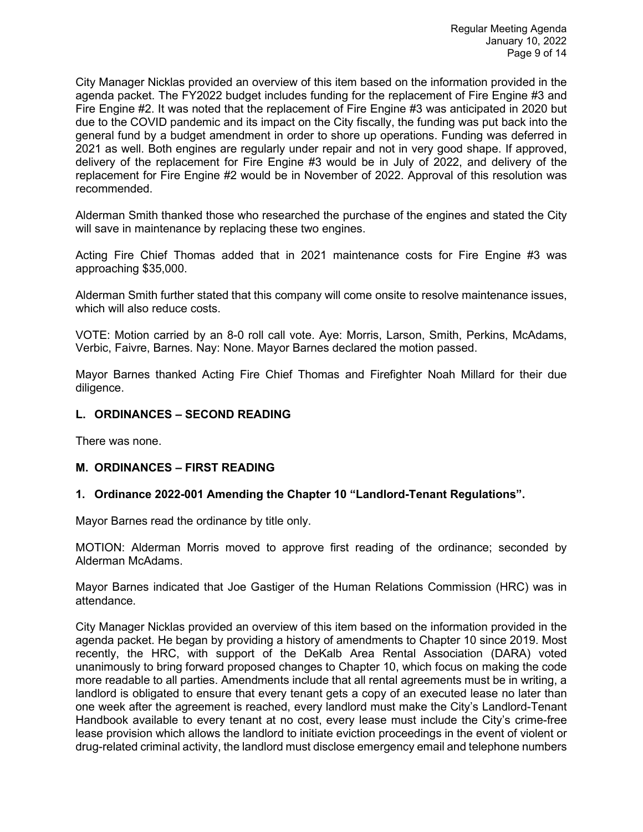City Manager Nicklas provided an overview of this item based on the information provided in the agenda packet. The FY2022 budget includes funding for the replacement of Fire Engine #3 and Fire Engine #2. It was noted that the replacement of Fire Engine #3 was anticipated in 2020 but due to the COVID pandemic and its impact on the City fiscally, the funding was put back into the general fund by a budget amendment in order to shore up operations. Funding was deferred in 2021 as well. Both engines are regularly under repair and not in very good shape. If approved, delivery of the replacement for Fire Engine #3 would be in July of 2022, and delivery of the replacement for Fire Engine #2 would be in November of 2022. Approval of this resolution was recommended.

Alderman Smith thanked those who researched the purchase of the engines and stated the City will save in maintenance by replacing these two engines.

Acting Fire Chief Thomas added that in 2021 maintenance costs for Fire Engine #3 was approaching \$35,000.

Alderman Smith further stated that this company will come onsite to resolve maintenance issues, which will also reduce costs.

VOTE: Motion carried by an 8-0 roll call vote. Aye: Morris, Larson, Smith, Perkins, McAdams, Verbic, Faivre, Barnes. Nay: None. Mayor Barnes declared the motion passed.

Mayor Barnes thanked Acting Fire Chief Thomas and Firefighter Noah Millard for their due diligence.

#### **L. ORDINANCES – SECOND READING**

There was none.

#### **M. ORDINANCES – FIRST READING**

#### **1. Ordinance 2022-001 Amending the Chapter 10 "Landlord-Tenant Regulations".**

Mayor Barnes read the ordinance by title only.

MOTION: Alderman Morris moved to approve first reading of the ordinance; seconded by Alderman McAdams.

Mayor Barnes indicated that Joe Gastiger of the Human Relations Commission (HRC) was in attendance.

City Manager Nicklas provided an overview of this item based on the information provided in the agenda packet. He began by providing a history of amendments to Chapter 10 since 2019. Most recently, the HRC, with support of the DeKalb Area Rental Association (DARA) voted unanimously to bring forward proposed changes to Chapter 10, which focus on making the code more readable to all parties. Amendments include that all rental agreements must be in writing, a landlord is obligated to ensure that every tenant gets a copy of an executed lease no later than one week after the agreement is reached, every landlord must make the City's Landlord-Tenant Handbook available to every tenant at no cost, every lease must include the City's crime-free lease provision which allows the landlord to initiate eviction proceedings in the event of violent or drug-related criminal activity, the landlord must disclose emergency email and telephone numbers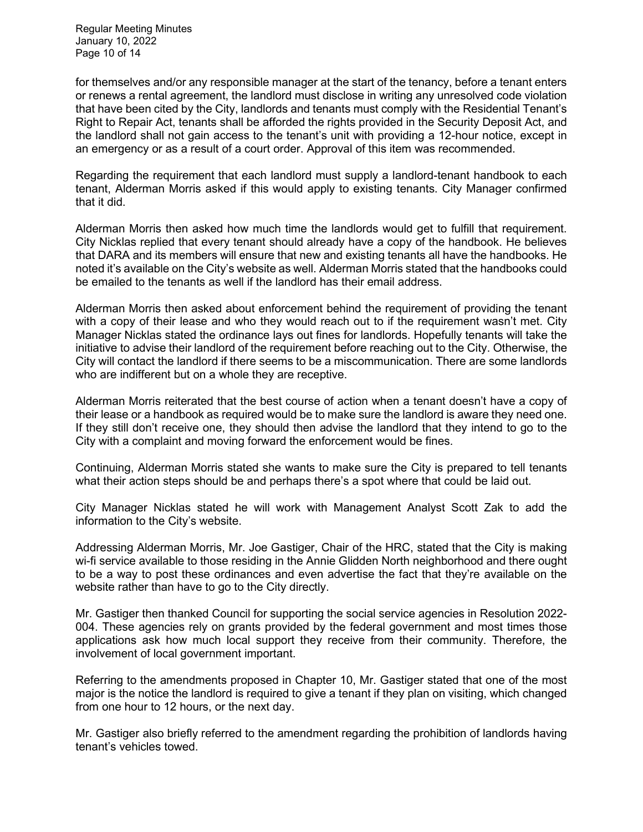Regular Meeting Minutes January 10, 2022 Page 10 of 14

for themselves and/or any responsible manager at the start of the tenancy, before a tenant enters or renews a rental agreement, the landlord must disclose in writing any unresolved code violation that have been cited by the City, landlords and tenants must comply with the Residential Tenant's Right to Repair Act, tenants shall be afforded the rights provided in the Security Deposit Act, and the landlord shall not gain access to the tenant's unit with providing a 12-hour notice, except in an emergency or as a result of a court order. Approval of this item was recommended.

Regarding the requirement that each landlord must supply a landlord-tenant handbook to each tenant, Alderman Morris asked if this would apply to existing tenants. City Manager confirmed that it did.

Alderman Morris then asked how much time the landlords would get to fulfill that requirement. City Nicklas replied that every tenant should already have a copy of the handbook. He believes that DARA and its members will ensure that new and existing tenants all have the handbooks. He noted it's available on the City's website as well. Alderman Morris stated that the handbooks could be emailed to the tenants as well if the landlord has their email address.

Alderman Morris then asked about enforcement behind the requirement of providing the tenant with a copy of their lease and who they would reach out to if the requirement wasn't met. City Manager Nicklas stated the ordinance lays out fines for landlords. Hopefully tenants will take the initiative to advise their landlord of the requirement before reaching out to the City. Otherwise, the City will contact the landlord if there seems to be a miscommunication. There are some landlords who are indifferent but on a whole they are receptive.

Alderman Morris reiterated that the best course of action when a tenant doesn't have a copy of their lease or a handbook as required would be to make sure the landlord is aware they need one. If they still don't receive one, they should then advise the landlord that they intend to go to the City with a complaint and moving forward the enforcement would be fines.

Continuing, Alderman Morris stated she wants to make sure the City is prepared to tell tenants what their action steps should be and perhaps there's a spot where that could be laid out.

City Manager Nicklas stated he will work with Management Analyst Scott Zak to add the information to the City's website.

Addressing Alderman Morris, Mr. Joe Gastiger, Chair of the HRC, stated that the City is making wi-fi service available to those residing in the Annie Glidden North neighborhood and there ought to be a way to post these ordinances and even advertise the fact that they're available on the website rather than have to go to the City directly.

Mr. Gastiger then thanked Council for supporting the social service agencies in Resolution 2022- 004. These agencies rely on grants provided by the federal government and most times those applications ask how much local support they receive from their community. Therefore, the involvement of local government important.

Referring to the amendments proposed in Chapter 10, Mr. Gastiger stated that one of the most major is the notice the landlord is required to give a tenant if they plan on visiting, which changed from one hour to 12 hours, or the next day.

Mr. Gastiger also briefly referred to the amendment regarding the prohibition of landlords having tenant's vehicles towed.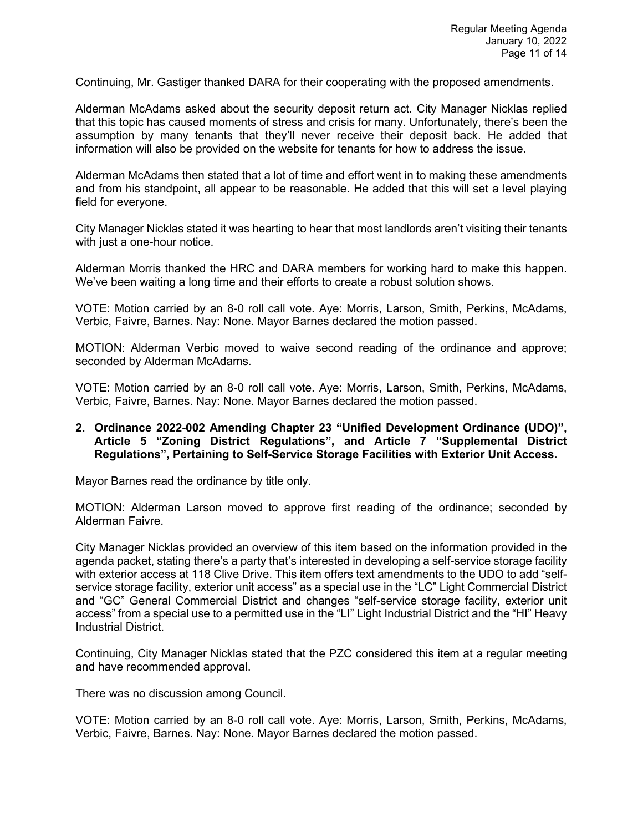Continuing, Mr. Gastiger thanked DARA for their cooperating with the proposed amendments.

Alderman McAdams asked about the security deposit return act. City Manager Nicklas replied that this topic has caused moments of stress and crisis for many. Unfortunately, there's been the assumption by many tenants that they'll never receive their deposit back. He added that information will also be provided on the website for tenants for how to address the issue.

Alderman McAdams then stated that a lot of time and effort went in to making these amendments and from his standpoint, all appear to be reasonable. He added that this will set a level playing field for everyone.

City Manager Nicklas stated it was hearting to hear that most landlords aren't visiting their tenants with just a one-hour notice.

Alderman Morris thanked the HRC and DARA members for working hard to make this happen. We've been waiting a long time and their efforts to create a robust solution shows.

VOTE: Motion carried by an 8-0 roll call vote. Aye: Morris, Larson, Smith, Perkins, McAdams, Verbic, Faivre, Barnes. Nay: None. Mayor Barnes declared the motion passed.

MOTION: Alderman Verbic moved to waive second reading of the ordinance and approve; seconded by Alderman McAdams.

VOTE: Motion carried by an 8-0 roll call vote. Aye: Morris, Larson, Smith, Perkins, McAdams, Verbic, Faivre, Barnes. Nay: None. Mayor Barnes declared the motion passed.

#### **2. Ordinance 2022-002 Amending Chapter 23 "Unified Development Ordinance (UDO)", Article 5 "Zoning District Regulations", and Article 7 "Supplemental District Regulations", Pertaining to Self-Service Storage Facilities with Exterior Unit Access.**

Mayor Barnes read the ordinance by title only.

MOTION: Alderman Larson moved to approve first reading of the ordinance; seconded by Alderman Faivre.

City Manager Nicklas provided an overview of this item based on the information provided in the agenda packet, stating there's a party that's interested in developing a self-service storage facility with exterior access at 118 Clive Drive. This item offers text amendments to the UDO to add "selfservice storage facility, exterior unit access" as a special use in the "LC" Light Commercial District and "GC" General Commercial District and changes "self-service storage facility, exterior unit access" from a special use to a permitted use in the "LI" Light Industrial District and the "HI" Heavy Industrial District.

Continuing, City Manager Nicklas stated that the PZC considered this item at a regular meeting and have recommended approval.

There was no discussion among Council.

VOTE: Motion carried by an 8-0 roll call vote. Aye: Morris, Larson, Smith, Perkins, McAdams, Verbic, Faivre, Barnes. Nay: None. Mayor Barnes declared the motion passed.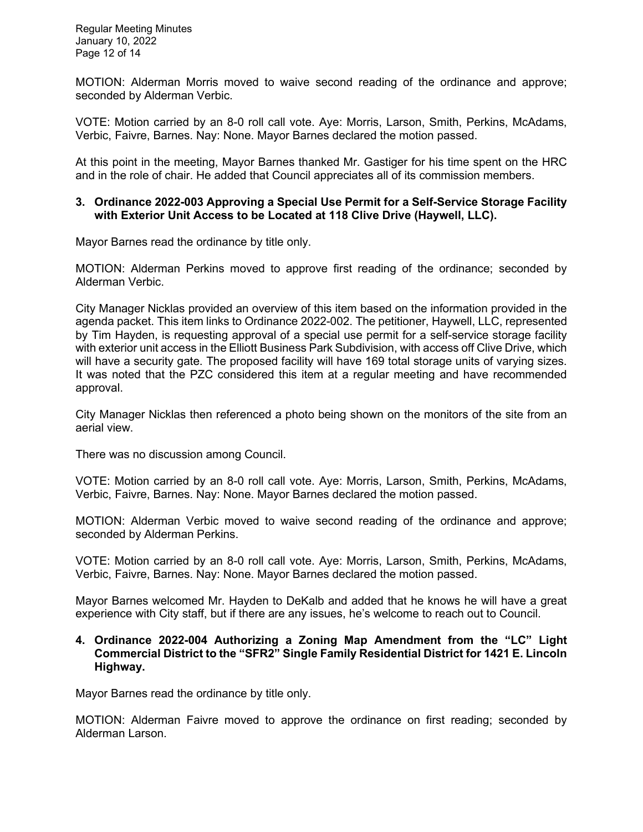Regular Meeting Minutes January 10, 2022 Page 12 of 14

MOTION: Alderman Morris moved to waive second reading of the ordinance and approve; seconded by Alderman Verbic.

VOTE: Motion carried by an 8-0 roll call vote. Aye: Morris, Larson, Smith, Perkins, McAdams, Verbic, Faivre, Barnes. Nay: None. Mayor Barnes declared the motion passed.

At this point in the meeting, Mayor Barnes thanked Mr. Gastiger for his time spent on the HRC and in the role of chair. He added that Council appreciates all of its commission members.

#### **3. Ordinance 2022-003 Approving a Special Use Permit for a Self-Service Storage Facility with Exterior Unit Access to be Located at 118 Clive Drive (Haywell, LLC).**

Mayor Barnes read the ordinance by title only.

MOTION: Alderman Perkins moved to approve first reading of the ordinance; seconded by Alderman Verbic.

City Manager Nicklas provided an overview of this item based on the information provided in the agenda packet. This item links to Ordinance 2022-002. The petitioner, Haywell, LLC, represented by Tim Hayden, is requesting approval of a special use permit for a self-service storage facility with exterior unit access in the Elliott Business Park Subdivision, with access off Clive Drive, which will have a security gate. The proposed facility will have 169 total storage units of varying sizes. It was noted that the PZC considered this item at a regular meeting and have recommended approval.

City Manager Nicklas then referenced a photo being shown on the monitors of the site from an aerial view.

There was no discussion among Council.

VOTE: Motion carried by an 8-0 roll call vote. Aye: Morris, Larson, Smith, Perkins, McAdams, Verbic, Faivre, Barnes. Nay: None. Mayor Barnes declared the motion passed.

MOTION: Alderman Verbic moved to waive second reading of the ordinance and approve; seconded by Alderman Perkins.

VOTE: Motion carried by an 8-0 roll call vote. Aye: Morris, Larson, Smith, Perkins, McAdams, Verbic, Faivre, Barnes. Nay: None. Mayor Barnes declared the motion passed.

Mayor Barnes welcomed Mr. Hayden to DeKalb and added that he knows he will have a great experience with City staff, but if there are any issues, he's welcome to reach out to Council.

#### **4. Ordinance 2022-004 Authorizing a Zoning Map Amendment from the "LC" Light Commercial District to the "SFR2" Single Family Residential District for 1421 E. Lincoln Highway.**

Mayor Barnes read the ordinance by title only.

MOTION: Alderman Faivre moved to approve the ordinance on first reading; seconded by Alderman Larson.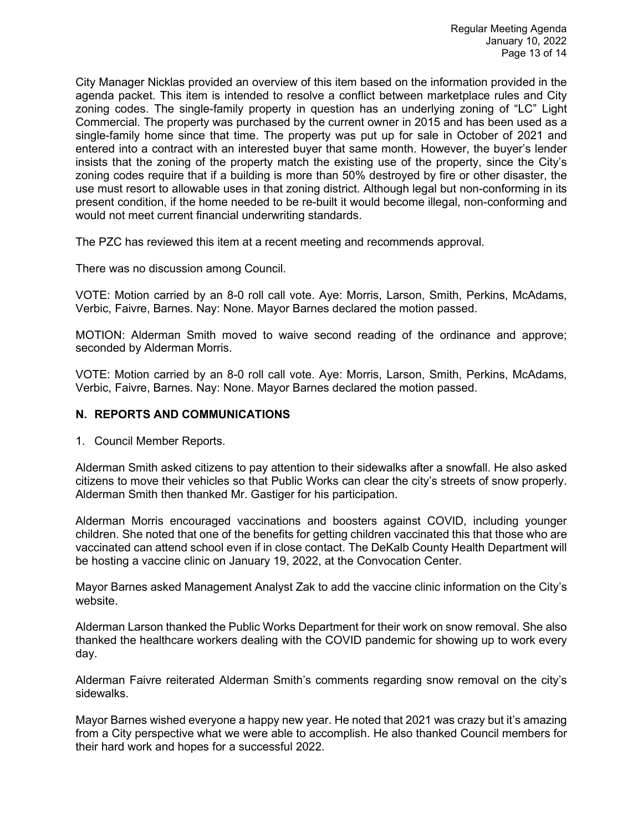City Manager Nicklas provided an overview of this item based on the information provided in the agenda packet. This item is intended to resolve a conflict between marketplace rules and City zoning codes. The single-family property in question has an underlying zoning of "LC" Light Commercial. The property was purchased by the current owner in 2015 and has been used as a single-family home since that time. The property was put up for sale in October of 2021 and entered into a contract with an interested buyer that same month. However, the buyer's lender insists that the zoning of the property match the existing use of the property, since the City's zoning codes require that if a building is more than 50% destroyed by fire or other disaster, the use must resort to allowable uses in that zoning district. Although legal but non-conforming in its present condition, if the home needed to be re-built it would become illegal, non-conforming and would not meet current financial underwriting standards.

The PZC has reviewed this item at a recent meeting and recommends approval.

There was no discussion among Council.

VOTE: Motion carried by an 8-0 roll call vote. Aye: Morris, Larson, Smith, Perkins, McAdams, Verbic, Faivre, Barnes. Nay: None. Mayor Barnes declared the motion passed.

MOTION: Alderman Smith moved to waive second reading of the ordinance and approve; seconded by Alderman Morris.

VOTE: Motion carried by an 8-0 roll call vote. Aye: Morris, Larson, Smith, Perkins, McAdams, Verbic, Faivre, Barnes. Nay: None. Mayor Barnes declared the motion passed.

#### **N. REPORTS AND COMMUNICATIONS**

1. Council Member Reports.

Alderman Smith asked citizens to pay attention to their sidewalks after a snowfall. He also asked citizens to move their vehicles so that Public Works can clear the city's streets of snow properly. Alderman Smith then thanked Mr. Gastiger for his participation.

Alderman Morris encouraged vaccinations and boosters against COVID, including younger children. She noted that one of the benefits for getting children vaccinated this that those who are vaccinated can attend school even if in close contact. The DeKalb County Health Department will be hosting a vaccine clinic on January 19, 2022, at the Convocation Center.

Mayor Barnes asked Management Analyst Zak to add the vaccine clinic information on the City's website.

Alderman Larson thanked the Public Works Department for their work on snow removal. She also thanked the healthcare workers dealing with the COVID pandemic for showing up to work every day.

Alderman Faivre reiterated Alderman Smith's comments regarding snow removal on the city's sidewalks.

Mayor Barnes wished everyone a happy new year. He noted that 2021 was crazy but it's amazing from a City perspective what we were able to accomplish. He also thanked Council members for their hard work and hopes for a successful 2022.